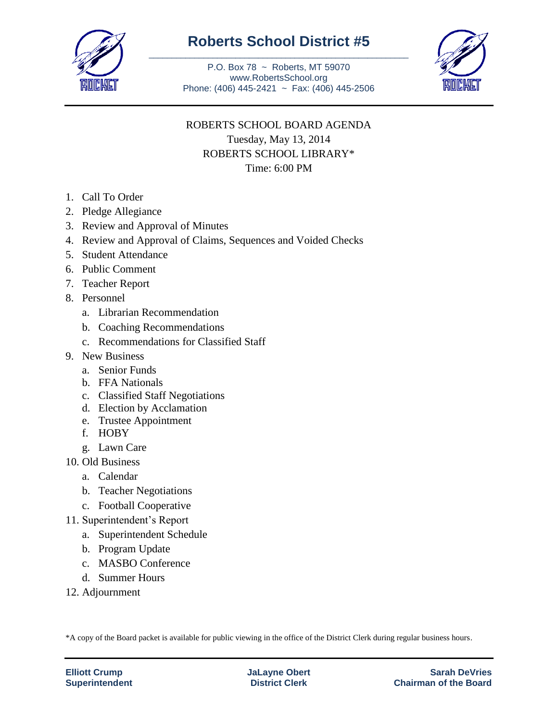

## **Roberts School District #5** \_\_\_\_\_\_\_\_\_\_\_\_\_\_\_\_\_\_\_\_\_\_\_\_\_\_\_\_\_\_\_\_\_\_\_\_\_\_\_\_\_\_\_\_\_\_\_\_\_\_\_\_\_\_\_\_\_

P.O. Box 78 ~ Roberts, MT 59070 www.RobertsSchool.org Phone: (406) 445-2421 ~ Fax: (406) 445-2506



## ROBERTS SCHOOL BOARD AGENDA Tuesday, May 13, 2014 ROBERTS SCHOOL LIBRARY\* Time: 6:00 PM

- 1. Call To Order
- 2. Pledge Allegiance
- 3. Review and Approval of Minutes
- 4. Review and Approval of Claims, Sequences and Voided Checks
- 5. Student Attendance
- 6. Public Comment
- 7. Teacher Report
- 8. Personnel
	- a. Librarian Recommendation
	- b. Coaching Recommendations
	- c. Recommendations for Classified Staff
- 9. New Business
	- a. Senior Funds
	- b. FFA Nationals
	- c. Classified Staff Negotiations
	- d. Election by Acclamation
	- e. Trustee Appointment
	- f. HOBY
	- g. Lawn Care
- 10. Old Business
	- a. Calendar
	- b. Teacher Negotiations
	- c. Football Cooperative
- 11. Superintendent's Report
	- a. Superintendent Schedule
	- b. Program Update
	- c. MASBO Conference
	- d. Summer Hours
- 12. Adjournment

\*A copy of the Board packet is available for public viewing in the office of the District Clerk during regular business hours.